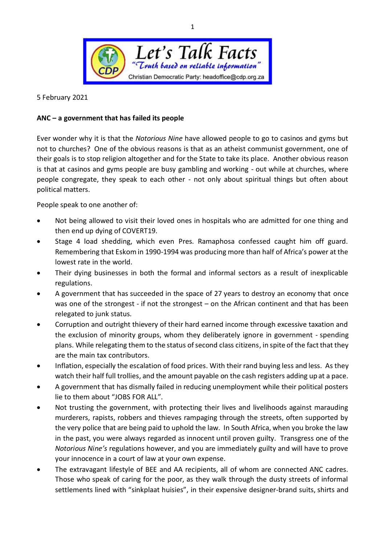

5 February 2021

## **ANC – a government that has failed its people**

Ever wonder why it is that the *Notorious Nine* have allowed people to go to casinos and gyms but not to churches? One of the obvious reasons is that as an atheist communist government, one of their goals is to stop religion altogether and for the State to take its place. Another obvious reason is that at casinos and gyms people are busy gambling and working - out while at churches, where people congregate, they speak to each other - not only about spiritual things but often about political matters.

People speak to one another of:

- Not being allowed to visit their loved ones in hospitals who are admitted for one thing and then end up dying of COVERT19.
- Stage 4 load shedding, which even Pres. Ramaphosa confessed caught him off guard. Remembering that Eskom in 1990-1994 was producing more than half of Africa's power at the lowest rate in the world.
- Their dying businesses in both the formal and informal sectors as a result of inexplicable regulations.
- A government that has succeeded in the space of 27 years to destroy an economy that once was one of the strongest - if not the strongest – on the African continent and that has been relegated to junk status.
- Corruption and outright thievery of their hard earned income through excessive taxation and the exclusion of minority groups, whom they deliberately ignore in government - spending plans. While relegating them to the status of second class citizens, in spite of the fact that they are the main tax contributors.
- Inflation, especially the escalation of food prices. With their rand buying less and less. As they watch their half full trollies, and the amount payable on the cash registers adding up at a pace.
- A government that has dismally failed in reducing unemployment while their political posters lie to them about "JOBS FOR ALL".
- Not trusting the government, with protecting their lives and livelihoods against marauding murderers, rapists, robbers and thieves rampaging through the streets, often supported by the very police that are being paid to uphold the law. In South Africa, when you broke the law in the past, you were always regarded as innocent until proven guilty. Transgress one of the *Notorious Nine's* regulations however, and you are immediately guilty and will have to prove your innocence in a court of law at your own expense.
- The extravagant lifestyle of BEE and AA recipients, all of whom are connected ANC cadres. Those who speak of caring for the poor, as they walk through the dusty streets of informal settlements lined with "sinkplaat huisies", in their expensive designer-brand suits, shirts and